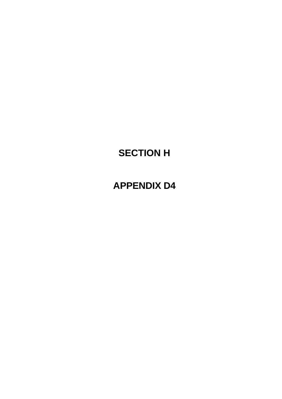# **SECTION H**

# **APPENDIX D4**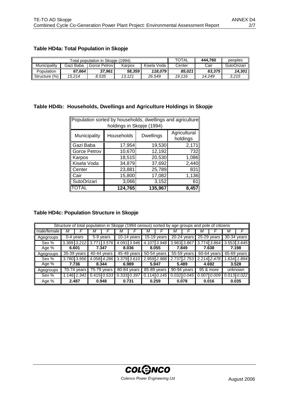# **Table HD4a: Total Population in Skopje**

|               |           | Total population in Skopie (1994) | <b>TOTAL</b> | 444.760     | peoples |        |                    |
|---------------|-----------|-----------------------------------|--------------|-------------|---------|--------|--------------------|
| Municipality  | Gazi Baba | Gorce Petrov                      | Karpos       | Kisela Voda | Center  | Cair   | <b>SutoOrizari</b> |
| Population    | 67.664    | 37.961                            | 58.359       | 118.079     | 85.021  | 63.375 | 14.301             |
| Structure (%) | 15.214    | 8.535                             | 13.121       | 26.549      | 19.116  | 14.249 | 3.215              |

#### **Table HD4b: Households, Dwellings and Agriculture Holdings in Skopje**

|                     | Population sorted by households, dwellings and agriculture<br>holdings in Skopje (1994) |                  |                          |  |  |  |  |  |  |  |
|---------------------|-----------------------------------------------------------------------------------------|------------------|--------------------------|--|--|--|--|--|--|--|
| Municipality        | Households                                                                              | <b>Dwellings</b> | Agricultural<br>holdings |  |  |  |  |  |  |  |
| Gazi Baba           | 17,954                                                                                  | 19,530           | 2,171                    |  |  |  |  |  |  |  |
| <b>Gorce Petrov</b> | 10,670                                                                                  | 12,192           | 732                      |  |  |  |  |  |  |  |
| Karpos              | 18,515                                                                                  | 20,530           | 1,086                    |  |  |  |  |  |  |  |
| Kisela Voda         | 34,879                                                                                  | 37,692           | 2,440                    |  |  |  |  |  |  |  |
| Center              | 23,881                                                                                  | 25,789           | 831                      |  |  |  |  |  |  |  |
| Cair                | 15,800                                                                                  | 17,082           | 1,136                    |  |  |  |  |  |  |  |
| SutoOrizari         | 3,066                                                                                   | 3,152            | 61                       |  |  |  |  |  |  |  |
| ITOTAL              | 124,765                                                                                 | 135,967          | 8,457                    |  |  |  |  |  |  |  |

#### **Table HD4c: Population Structure in Skopje**

|             |             |               | Structure of total population in Skopje (1994 census) sorted by age groups and pole of citizens |                                |       |                 |   |                 |   |                 |   |                 |                 |               |
|-------------|-------------|---------------|-------------------------------------------------------------------------------------------------|--------------------------------|-------|-----------------|---|-----------------|---|-----------------|---|-----------------|-----------------|---------------|
| male/female | М           |               | м                                                                                               |                                | м     |                 | м |                 | м |                 | м |                 | M               |               |
| Agegroups   |             | 0-4 years     |                                                                                                 | $\overline{5-9}$ years         |       | 10-14 years     |   | $15-19$ years   |   | $20-24$ years   |   | 25-29 years     |                 | $30-34$ years |
| Sex %       | 3.389 3.212 |               |                                                                                                 | 3.771 3.576                    | 4.091 | 3.946           |   | 4.107 3.948     |   | 3.983 3.867     |   | $3.774$ 3.864   | 3.553 3.645     |               |
| Age %       |             | 6.601         | 7.347                                                                                           |                                |       | 8.036           |   | 8.055           |   | 7.849           |   | 7.638           | 7.198           |               |
| Agegroups   |             | 35-39 years   |                                                                                                 | $40-44$ years                  |       | $45-49$ years   |   | $50-54$ years   |   | 55-59 years     |   | $60-64$ years   | 65-69 years     |               |
| Sex %       |             | 3.780 3.956   |                                                                                                 | 4.058 4.286                    |       | 3.379 3.610     |   | 2.959 2.988     |   | 2.737 2.753     |   | 2.214 2.478     |                 | 1.634 1.894   |
| Age %       |             | 7.736         | 8.344                                                                                           |                                |       | 6.989           |   | 5.947           |   | 5.489           |   | 4.692           | 3.528           |               |
| Agegroups   |             | $70-74$ years |                                                                                                 | $75-79$ years                  |       | 80-84 years     |   | 85-89 years     |   | $90-94$ years   |   | 95 & more       | unknown         |               |
| Sex %       | 1.146       | 1.341         |                                                                                                 | $0.415$ $0.533$ $\blacksquare$ |       | $0.333$ $0.397$ |   | $0.114$ $0.145$ |   | $0.032$ $0.045$ |   | $0.007$ $0.009$ | $0.013$ $0.022$ |               |
| Age %       |             | 2.487         |                                                                                                 | 0.948                          | 0.731 |                 |   | 0.259           |   | 0.078           |   | 0.016           | 0.035           |               |

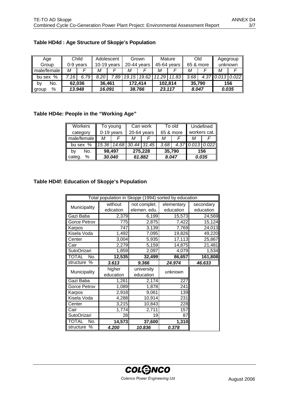| Age         |      | Child     |               | Adolescent |       | Grown       |       | Mature      | Old       |                    | Agegroup |
|-------------|------|-----------|---------------|------------|-------|-------------|-------|-------------|-----------|--------------------|----------|
| Group       |      | 0-9 vears | $10-19$ years |            |       | 20-44 years |       | 45-64 years | 65 & more |                    | unknown  |
| male/female | М    |           | М             |            | М     |             | Μ     |             | М         |                    |          |
| bu sex %    | .16' | 6.79      | 8.20          | .89        | 19.15 | 19.62       | 11.29 | 11.83       | 3.68      | $4.37$ 0.013 0.022 |          |
| No.<br>bγ   |      | 62,036    | 36,461        |            |       | 172.414     |       | 102,814     | 35,790    |                    | 156      |
| %<br>group  |      | 13.948    | 16.091        |            |       | 38.766      |       | 23.117      | 8.047     |                    | 0.035    |

# **Table HD4d : Age Structure of Skopje's Population**

# **Table HD4e: People in the "Working Age"**

| Workers     | To young   |                         |             | Can work |           | To old | Undefined        |  |  |
|-------------|------------|-------------------------|-------------|----------|-----------|--------|------------------|--|--|
| category    | 0-19 years |                         | 20-64 years |          | 65 & more |        | workers cat.     |  |  |
| male/female | М          |                         | м           |          | м         |        |                  |  |  |
| bu sex %    |            | 15.36 14.68 30.44 31.45 |             |          | 3.68      |        | 4.37 0.013 0.022 |  |  |
| No.<br>bv   | 98,497     |                         |             | 275,228  |           | 35,790 | 156              |  |  |
| categ.<br>% | 30.040     |                         |             | 61.882   | 8.047     |        | 0.035            |  |  |

## **Table HD4f: Education of Skopje's Population**

|                     | Total population in Skopje (1994) sorted by education |              |            |           |  |  |  |  |  |  |  |  |
|---------------------|-------------------------------------------------------|--------------|------------|-----------|--|--|--|--|--|--|--|--|
|                     | without                                               | not complet. | elementary | secondary |  |  |  |  |  |  |  |  |
| Municipality        | edication                                             | elemen. edu. | education  | education |  |  |  |  |  |  |  |  |
| Gazi Baba           | 2,379                                                 | 6,199        | 15,573     | 24,569    |  |  |  |  |  |  |  |  |
| Gorce Petrov        | 775                                                   | 2,875        | 7,422      | 15,124    |  |  |  |  |  |  |  |  |
| Karpos              | 747                                                   | 3,139        | 7,769      | 24,013    |  |  |  |  |  |  |  |  |
| Kisela Voda         | 1,492                                                 | 7,095        | 19,826     | 49,220    |  |  |  |  |  |  |  |  |
| Center              | 3,004                                                 | 5,935        | 17, 113    | 25,867    |  |  |  |  |  |  |  |  |
| Cair                | 2,279                                                 | 5,159        | 14,875     | 21,481    |  |  |  |  |  |  |  |  |
| SutoOrizari         | 1,859                                                 | 2,097        | 4,079      | 1,534     |  |  |  |  |  |  |  |  |
| <b>TOTAL</b><br>No. | 12,535                                                | 32,499       | 86,657     | 161,808   |  |  |  |  |  |  |  |  |
| structure<br>%      | 3.613                                                 | 9.366        | 24.974     | 46.633    |  |  |  |  |  |  |  |  |
| Municipality        | higher                                                | university   | unknown    |           |  |  |  |  |  |  |  |  |
|                     | education                                             | education    |            |           |  |  |  |  |  |  |  |  |
| Gazi Baba           | 1,261                                                 | 2,174        | 227        |           |  |  |  |  |  |  |  |  |
| Gorce Petrov        | 1,089                                                 | 1,878        | 241        |           |  |  |  |  |  |  |  |  |
| Karpos              | 2,918                                                 | 9,061        | 139        |           |  |  |  |  |  |  |  |  |
| Kisela Voda         | 4,288                                                 | 10,914       | 231        |           |  |  |  |  |  |  |  |  |
| Center              | 3,215                                                 | 10,843       | 228        |           |  |  |  |  |  |  |  |  |
| Cair                | 1,774                                                 | 2,711        | 157        |           |  |  |  |  |  |  |  |  |
| SutoOrizari         | 28                                                    | 19           | 87         |           |  |  |  |  |  |  |  |  |
| <b>TOTAL</b><br>No. | 14,573                                                | 37,600       | 1,310      |           |  |  |  |  |  |  |  |  |
| $\%$<br>structure   | 4.200                                                 | 10.836       | 0.378      |           |  |  |  |  |  |  |  |  |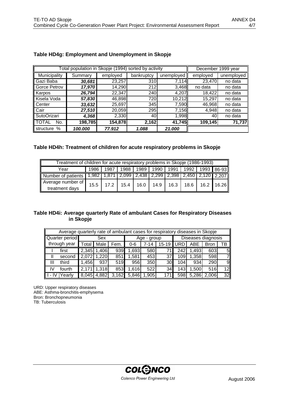|                     | Total population in Skopje (1994) sorted by activity |          |            |            |          | December 1999 year |
|---------------------|------------------------------------------------------|----------|------------|------------|----------|--------------------|
| Municipality        | Summary                                              | employed | bankruptcy | unemployed | employed | unemployed         |
| ll Gazi Baba        | 30,681                                               | 23,257   | 310        | 7,114      | 23,470   | no data            |
| Gorce Petrov        | 17,970                                               | 14,290   | 212        | 3,468      | no data  | no data            |
| Karpos              | 26,794                                               | 22,347   | 240        | 4,207      | 18,422   | no data            |
| Kisela Voda         | 57,830                                               | 46,898   | 720        | 10,212     | 15,297   | no data            |
| <b>I</b> Center     | 33,632                                               | 25,697   | 345        | 7,590      | 46,968   | no data            |
| ∥ Cair              | 27,510                                               | 20,059   | 295        | 7,156      | 4,948    | no data            |
| SutoOrizari         | 4,368                                                | 2,330    | 40         | 1,998      | 40       | no data            |
| <b>TOTAL</b><br>No. | 198,785                                              | 154,878  | 2,162      | 41,745     | 109,145  | 71,737             |
| structure<br>%      | 100.000                                              | 77.912   | 1.088      | 21.000     |          |                    |

## **Table HD4g: Employment and Unemployment in Skopje**

#### **Table HD4h: Treatment of children for acute respiratory problems in Skopje**

| Treatment of children for acute respiratory problems in Skopje (1986-1993)               |      |  |                                                               |  |  |  |  |  |  |  |
|------------------------------------------------------------------------------------------|------|--|---------------------------------------------------------------|--|--|--|--|--|--|--|
| Year                                                                                     | 1986 |  | 1987   1988   1989   1990   1991   1992   1993   86-93        |  |  |  |  |  |  |  |
| Number of patients 1,982   1,871   2,099   2,438   2,299   2,398   2,450   2,120   2,207 |      |  |                                                               |  |  |  |  |  |  |  |
| Average number of<br>treatment days                                                      |      |  | 15.5   17.2   15.4   16.0   14.9   16.3   18.6   16.2   16.26 |  |  |  |  |  |  |  |

## **Table HD4i: Average quarterly Rate of ambulant Cases for Respiratory Diseases in Skopje**

|    | Average quarterly rate of ambulant cases for respiratory diseases in Skopje |         |       |       |             |      |                 |              |                    |             |                 |  |
|----|-----------------------------------------------------------------------------|---------|-------|-------|-------------|------|-----------------|--------------|--------------------|-------------|-----------------|--|
|    | Quarter period                                                              |         | Sex   |       | Age - group |      |                 |              | Diseases diagnosis |             |                 |  |
|    | through year                                                                | Total I | Male  | Fem.  | $0-6$       | 7-14 | $15 - 19$       | <b>I</b> URD | ABE                | <b>Bron</b> | тв              |  |
|    | first                                                                       | 2,345   | 1,406 | 939   | .693        | 580  | 71              | 242          | 1,493              | 603         | 51              |  |
|    | second                                                                      | 2.072   | 1,220 | 851   | ,581        | 453  | 37              | 109l         | 1,358              | 598         | 7               |  |
| Ш  | third                                                                       | 1,456   | 937   | 519   | 956         | 350  | 30 <sup>l</sup> | 104I         | 934                | 290         | 9               |  |
| IV | fourth                                                                      | 2,171   | 1,318 | 853   | 1,616       | 522  | 34              | 143I         | 1,500              | 516         | 12 <sub>h</sub> |  |
|    | Yearly                                                                      | 8,045   | 4,882 | 3,162 | 5,846       | .905 | 171             | 598          | 5,286              | 2,006       | 32              |  |

URD: Upper respiratory diseases ABE: Asthma-bronchitis-emphysema Bron: Bronchopneumonia TB: Tuberculosis

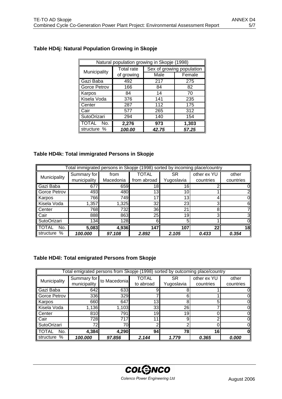|                     | Natural population growing in Skopje (1998) |       |                           |
|---------------------|---------------------------------------------|-------|---------------------------|
| Municipality        | <b>Total rate</b>                           |       | Sex of growing population |
|                     | of growing                                  | Male  | Female                    |
| Gazi Baba           | 492                                         | 217   | 275                       |
| Gorce Petrov        | 166                                         | 84    | 82                        |
| Karpos              | 84                                          | 14    | 70                        |
| Kisela Voda         | 376                                         | 141   | 235                       |
| Center              | 287                                         | 112   | 175                       |
| Cair                | 577                                         | 265   | 312                       |
| SutoOrizari         | 294                                         | 140   | 154                       |
| <b>TOTAL</b><br>No. | 2,276                                       | 973   | 1,303                     |
| structure %         | 100.00                                      | 42.75 | 57.25                     |

# **Table HD4j: Natural Population Growing in Skopje**

#### **Table HD4k: Total immigrated Persons in Skopje**

|                | Total immigrated persons in Skopje (1998) sorted by incoming place/country |           |             |                 |             |           |
|----------------|----------------------------------------------------------------------------|-----------|-------------|-----------------|-------------|-----------|
| Municipality   | Summary for                                                                | from      | TOTAL       | SR              | other ex YU | other     |
|                | municipality                                                               | Macedonia | from abroad | Yugoslavia      | countries   | countries |
| Gazi Baba      | 677                                                                        | 659       | 18          | 16 <sub>1</sub> |             |           |
| Gorce Petrov   | 493                                                                        | 480       | 13          | 10 <sub>1</sub> |             |           |
| Karpos         | 766                                                                        | 749       | 17          | 13              |             |           |
| Kisela Voda    | 1,357                                                                      | ,325      | 32          | 23              |             |           |
| Center         | 768                                                                        | 7321      | 36          | 21              |             |           |
| Cair           | 888                                                                        | 863       | 25          | 19              |             |           |
| SutoOrizari    | 134                                                                        | 128       | 61          | 5               |             |           |
| No.<br>TAI.    | 5,083                                                                      | 4,936     | 147         | 107             | 22          | 18        |
| %<br>structure | 100.000                                                                    | 97.108    | 2.892       | 2.105           | 0.433       | 0.354     |

# **Table HD4l: Total emigrated Persons from Skopje**

|                     |              | Total emigrated persons from Skopje (1998) sorted by outcoming place/country |           |            |             |           |
|---------------------|--------------|------------------------------------------------------------------------------|-----------|------------|-------------|-----------|
| Municipality        | Summary for  | to Macedonia                                                                 | TOTAL     | SR         | other ex YU | other     |
|                     | municipality |                                                                              | to abroad | Yugoslavia | countries   | countries |
| Gazi Baba           | 642          | 633                                                                          |           |            |             |           |
| Gorce Petrov        | 336          | 329                                                                          |           |            |             |           |
| Karpos              | 660          | 647                                                                          | 13        | 8          | 5           |           |
| Kisela Voda         | 1,136        | 1,103                                                                        | 33        | 26         |             |           |
| Center              | 810          | 791                                                                          | 19        | 19         |             |           |
| Cair                | 728          | 717                                                                          | 1.        | 9          |             |           |
| SutoOrizari         | 72           | 70I                                                                          | ⌒         |            |             |           |
| <b>TOTAL</b><br>No. | 4,384        | 4,290                                                                        | 94        | 78         | 16          |           |
| structure<br>$\%$   | 100.000      | 97.856                                                                       | 2.144     | 1.779      | 0.365       | 0.000     |

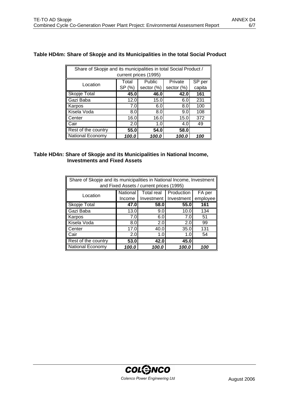# **Table HD4m: Share of Skopje and its Municipalities in the total Social Product**

| Share of Skopje and its municipalities in total Social Product /<br>current prices (1995) |        |            |            |        |  |  |
|-------------------------------------------------------------------------------------------|--------|------------|------------|--------|--|--|
| Location                                                                                  | Total  | Public     | Private    | SP per |  |  |
|                                                                                           | SP (%) | sector (%) | sector (%) | capita |  |  |
| Skopje Total                                                                              | 45.0   | 46.0       | 42.0       | 161    |  |  |
| Gazi Baba                                                                                 | 12.0   | 15.0       | 6.0        | 231    |  |  |
| Karpos                                                                                    | 7.0    | 6.0        | 8.0        | 100    |  |  |
| Kisela Voda                                                                               | 8.0    | 8.0        | 9.0        | 108    |  |  |
| Center                                                                                    | 16.0   | 16.0       | 15.0       | 372    |  |  |
| Cair                                                                                      | 2.0    | 1.0        | 4.0        | 49     |  |  |
| Rest of the country                                                                       | 55.0   | 54.0       | 58.0       |        |  |  |
| <b>National Economy</b>                                                                   | 100.0  | 100.0      | 100.0      | 100    |  |  |

#### **Table HD4n: Share of Skopje and its Municipalities in National Income, Investments and Fixed Assets**

| Share of Skopje and its municipalities in National Income, Investment<br>and Fixed Assets / current prices (1995) |          |                   |                         |          |  |  |
|-------------------------------------------------------------------------------------------------------------------|----------|-------------------|-------------------------|----------|--|--|
| Location                                                                                                          | National | <b>Total real</b> | Production              | FA per   |  |  |
|                                                                                                                   | Income   |                   | Investment   Investment | employee |  |  |
| <b>Skopje Total</b>                                                                                               | 47.0     | 58.0              | 55.0                    | 161      |  |  |
| ∥ Gazi Baba                                                                                                       | 13.0     | 9.0               | 10.0                    | 134      |  |  |
| Karpos                                                                                                            | 7.0      | 6.0               | 7.0                     | 51       |  |  |
| Kisela Voda                                                                                                       | 8.0      | 2.0               | 2.0                     | 99       |  |  |
| Center                                                                                                            | 17.0     | 40.0              | 35.0                    | 131      |  |  |
| Cair                                                                                                              | 2.0      | 1.0               | 1.0                     | 54       |  |  |
| Rest of the country                                                                                               | 53.0     | 42.0              | 45.0                    |          |  |  |
| National Economy                                                                                                  | 100.0    | 100.0             | 100.0                   | 100      |  |  |